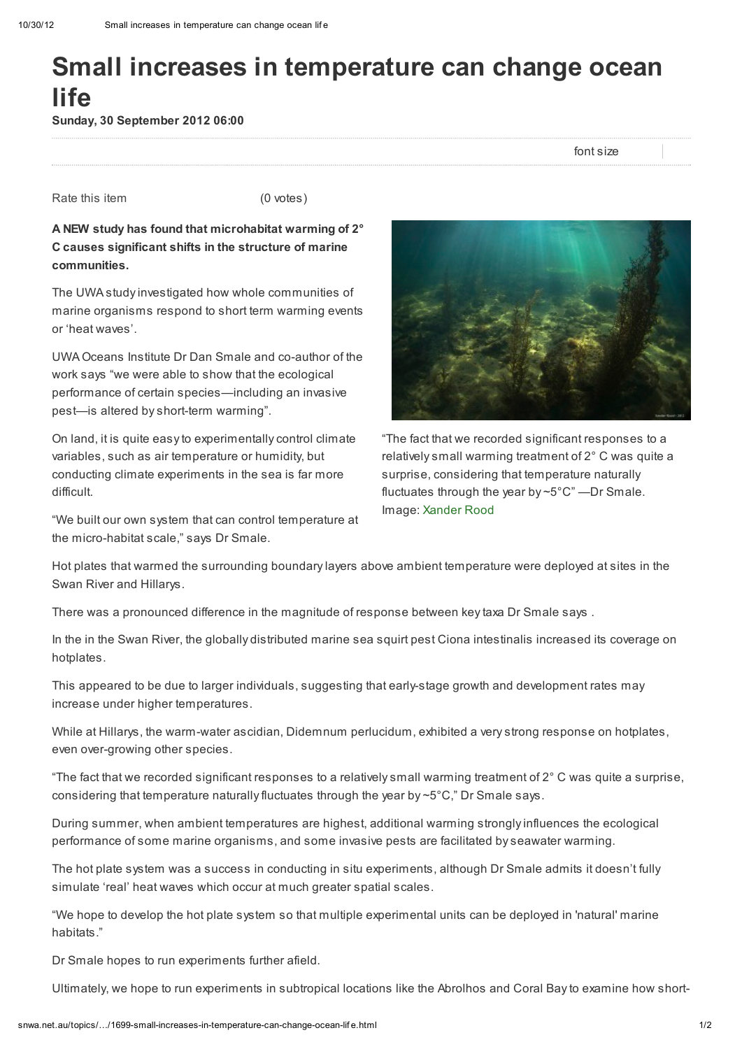## Small increases in temperature can change ocean life

Sunday, 30 September 2012 06:00

font size

Rate this item (0 votes)

A NEW study has found that microhabitat warming of 2° C causes significant shifts in the structure of marine communities.

The UWA study investigated how whole communities of marine organisms respond to short term warming events or 'heat waves'.

UWA Oceans Institute Dr Dan Smale and co-author of the work says "we were able to show that the ecological performance of certain species—including an invasive pest—is altered by short-term warming".

On land, it is quite easy to experimentally control climate variables, such as air temperature or humidity, but conducting climate experiments in the sea is far more difficult.

"We built our own system that can control temperature at the micro-habitat scale," says Dr Smale.



"The fact that we recorded significant responses to a relatively small warming treatment of 2° C was quite a surprise, considering that temperature naturally fluctuates through the year by ~5°C" —Dr Smale. Image: [Xander](http://www.flickr.com/photos/59861735@N04/) Rood

Hot plates that warmed the surrounding boundary layers above ambient temperature were deployed at sites in the Swan River and Hillarys.

There was a pronounced difference in the magnitude of response between key taxa Dr Smale says .

In the in the Swan River, the globally distributed marine sea squirt pest Ciona intestinalis increased its coverage on hotplates.

This appeared to be due to larger individuals, suggesting that early-stage growth and development rates may increase under higher temperatures.

While at Hillarys, the warm-water ascidian, Didemnum perlucidum, exhibited a very strong response on hotplates, even over-growing other species.

"The fact that we recorded significant responses to a relatively small warming treatment of  $2^{\circ}$  C was quite a surprise, considering that temperature naturally fluctuates through the year by  $\sim$  5°C," Dr Smale says.

During summer, when ambient temperatures are highest, additional warming strongly influences the ecological performance of some marine organisms, and some invasive pests are facilitated by seawater warming.

The hot plate system was a success in conducting in situ experiments, although Dr Smale admits it doesn't fully simulate 'real' heat waves which occur at much greater spatial scales.

"We hope to develop the hot plate system so that multiple experimental units can be deployed in 'natural' marine habitats."

Dr Smale hopes to run experiments further afield.

Ultimately, we hope to run experiments in subtropical locations like the Abrolhos and Coral Bay to examine how short-